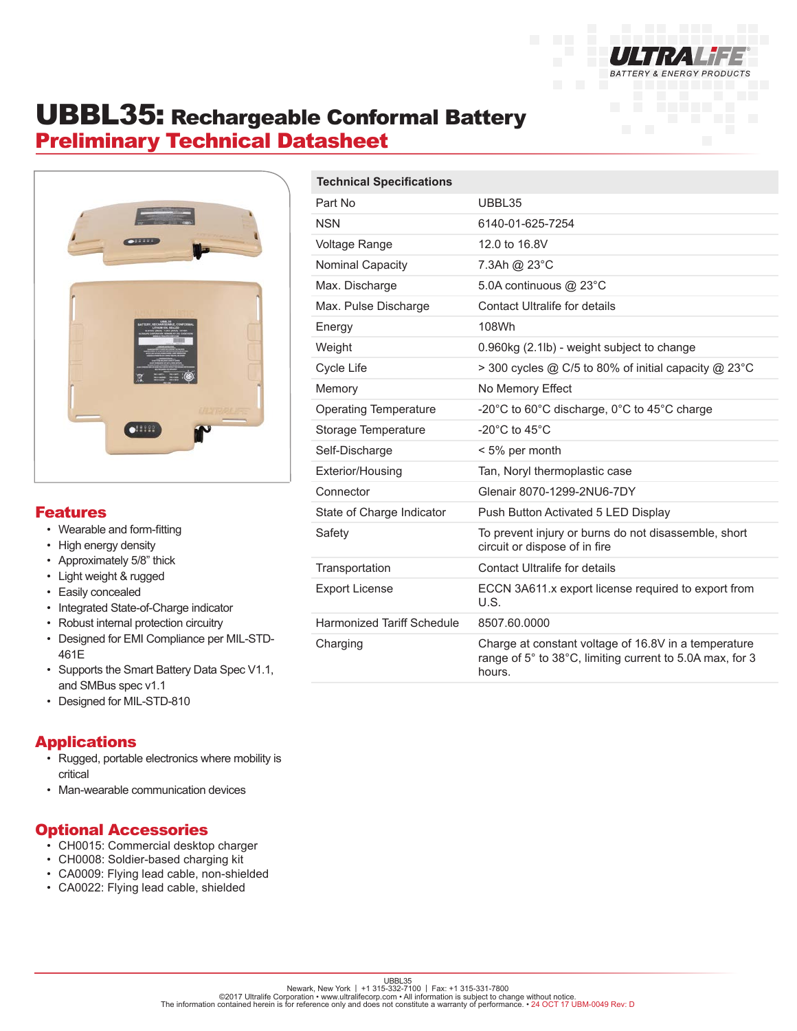

# UBBL35: Rechargeable Conformal Battery Preliminary Technical Datasheet



#### Features

- Wearable and form-fitting
- High energy density
- Approximately 5/8" thick
- Light weight & rugged
- Easily concealed
- Integrated State-of-Charge indicator
- Robust internal protection circuitry
- Designed for EMI Compliance per MIL-STD-461E
- Supports the Smart Battery Data Spec V1.1, and SMBus spec v1.1
- Designed for MIL-STD-810

### Applications

- Rugged, portable electronics where mobility is critical
- Man-wearable communication devices

### Optional Accessories

- CH0015: Commercial desktop charger
- CH0008: Soldier-based charging kit
- CA0009: Flying lead cable, non-shielded
- CA0022: Flying lead cable, shielded

| <b>Technical Specifications</b>   |                                                                                                                            |
|-----------------------------------|----------------------------------------------------------------------------------------------------------------------------|
| Part No                           | UBBL35                                                                                                                     |
| <b>NSN</b>                        | 6140-01-625-7254                                                                                                           |
| <b>Voltage Range</b>              | 12.0 to 16.8V                                                                                                              |
| Nominal Capacity                  | 7.3Ah @ 23°C                                                                                                               |
| Max. Discharge                    | 5.0A continuous @ 23°C                                                                                                     |
| Max. Pulse Discharge              | Contact Ultralife for details                                                                                              |
| Energy                            | 108Wh                                                                                                                      |
| Weight                            | 0.960kg (2.1lb) - weight subject to change                                                                                 |
| Cycle Life                        | > 300 cycles @ C/5 to 80% of initial capacity @ 23°C                                                                       |
| Memory                            | No Memory Effect                                                                                                           |
| <b>Operating Temperature</b>      | -20 $^{\circ}$ C to 60 $^{\circ}$ C discharge, 0 $^{\circ}$ C to 45 $^{\circ}$ C charge                                    |
| Storage Temperature               | -20 $^{\circ}$ C to 45 $^{\circ}$ C                                                                                        |
| Self-Discharge                    | < 5% per month                                                                                                             |
| Exterior/Housing                  | Tan, Noryl thermoplastic case                                                                                              |
| Connector                         | Glenair 8070-1299-2NU6-7DY                                                                                                 |
| State of Charge Indicator         | Push Button Activated 5 LED Display                                                                                        |
| Safety                            | To prevent injury or burns do not disassemble, short<br>circuit or dispose of in fire                                      |
| Transportation                    | Contact Ultralife for details                                                                                              |
| <b>Export License</b>             | ECCN 3A611.x export license required to export from<br>U.S.                                                                |
| <b>Harmonized Tariff Schedule</b> | 8507.60.0000                                                                                                               |
| Charging                          | Charge at constant voltage of 16.8V in a temperature<br>range of 5° to 38°C, limiting current to 5.0A max, for 3<br>hours. |